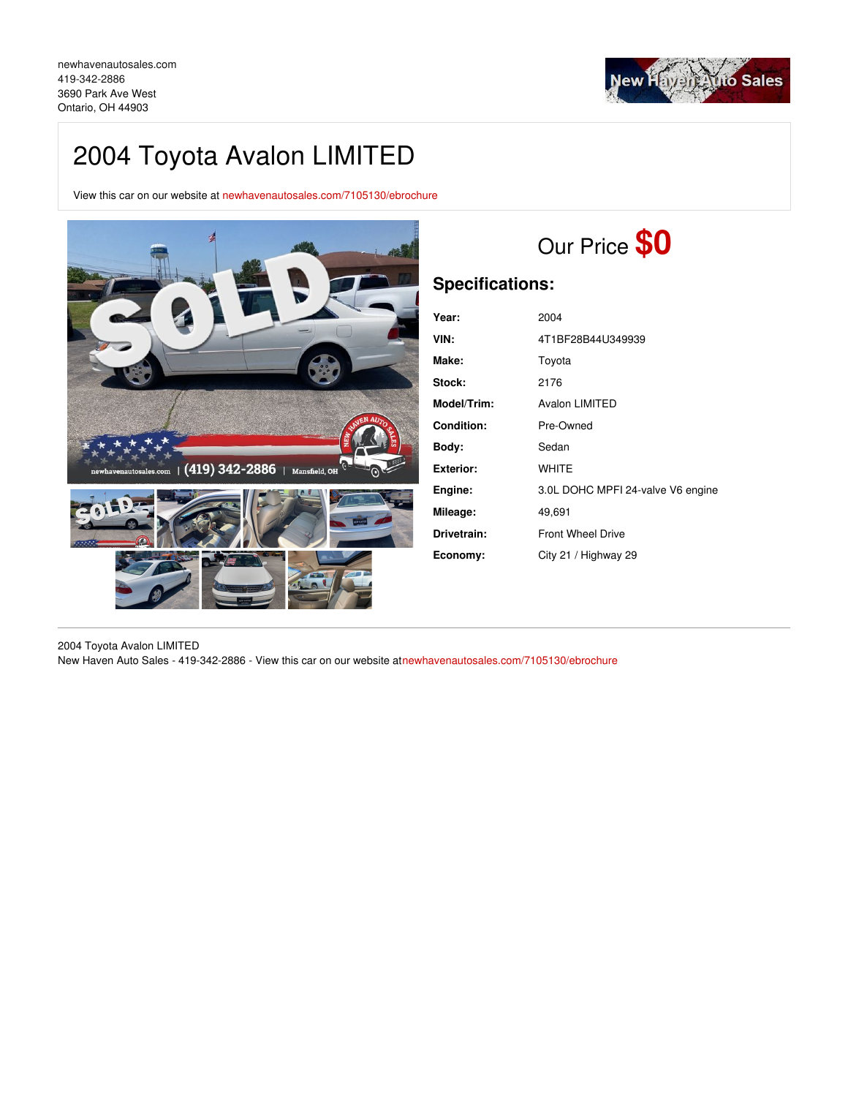

## 2004 Toyota Avalon LIMITED

View this car on our website at [newhavenautosales.com/7105130/ebrochure](https://newhavenautosales.com/vehicle/7105130/2004-toyota-avalon-limited-ontario-oh-44903/7105130/ebrochure)



# Our Price **\$0**

## **Specifications:**

| Year:             | 2004                              |
|-------------------|-----------------------------------|
| VIN:              | 4T1BF28B44U349939                 |
| Make:             | Toyota                            |
| Stock:            | 2176                              |
| Model/Trim:       | <b>Avalon LIMITED</b>             |
| <b>Condition:</b> | Pre-Owned                         |
| Bodv:             | Sedan                             |
| Exterior:         | <b>WHITE</b>                      |
| Engine:           | 3.0L DOHC MPFI 24-valve V6 engine |
| Mileage:          | 49,691                            |
| Drivetrain:       | <b>Front Wheel Drive</b>          |
| Economy:          | City 21 / Highway 29              |

2004 Toyota Avalon LIMITED New Haven Auto Sales - 419-342-2886 - View this car on our website a[tnewhavenautosales.com/7105130/ebrochure](https://newhavenautosales.com/vehicle/7105130/2004-toyota-avalon-limited-ontario-oh-44903/7105130/ebrochure)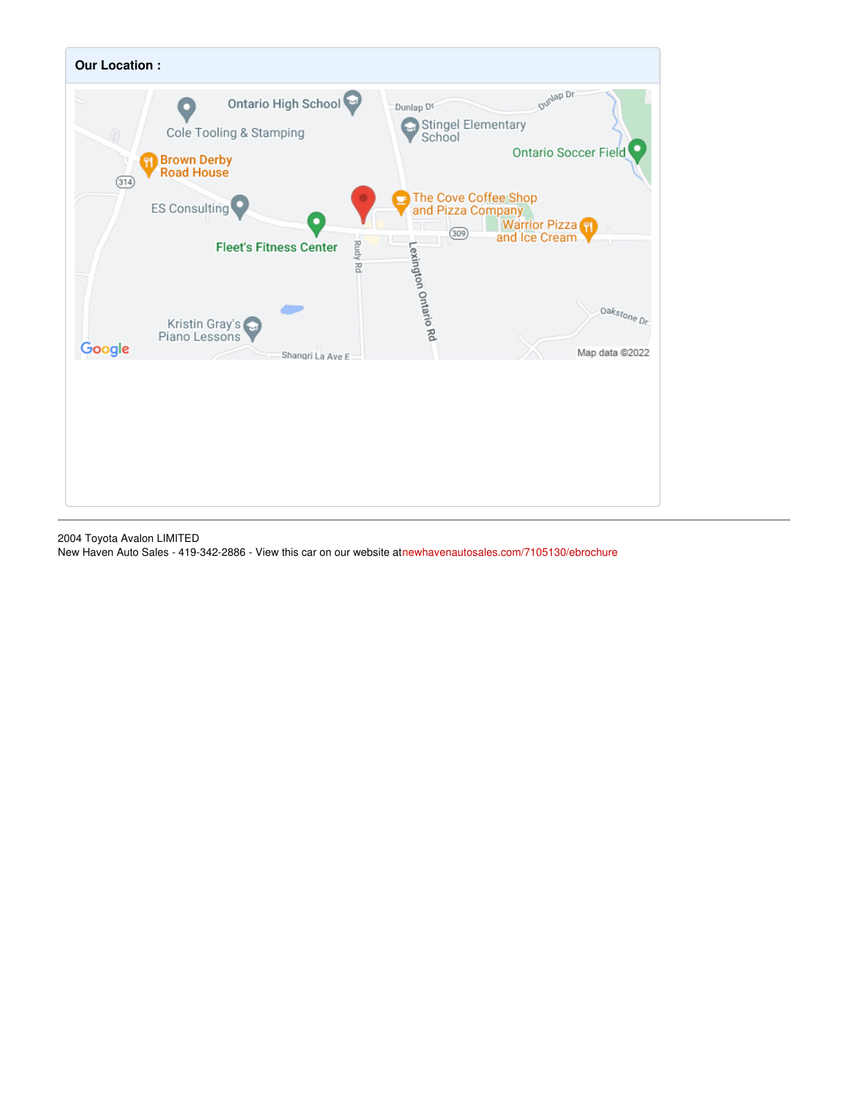

2004 Toyota Avalon LIMITED New Haven Auto Sales - 419-342-2886 - View this car on our website a[tnewhavenautosales.com/7105130/ebrochure](https://newhavenautosales.com/vehicle/7105130/2004-toyota-avalon-limited-ontario-oh-44903/7105130/ebrochure)